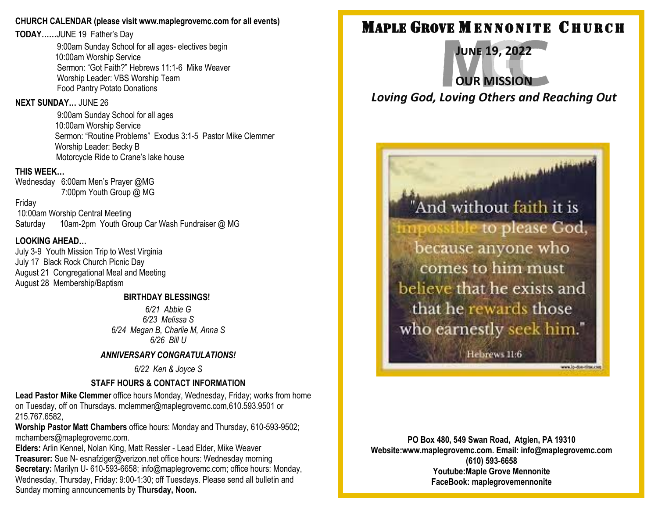### **CHURCH CALENDAR (please visit www.maplegrovemc.com for all events)**

**TODAY……**JUNE 19 Father's Day

9:00am Sunday School for all ages- electives begin 10:00am Worship Service Sermon: "Got Faith?" Hebrews 11:1-6 Mike Weaver Worship Leader: VBS Worship Team Food Pantry Potato Donations

### **NEXT SUNDAY…** JUNE 26

9:00am Sunday School for all ages 10:00am Worship Service Sermon: "Routine Problems" Exodus 3:1-5 Pastor Mike Clemmer Worship Leader: Becky B Motorcycle Ride to Crane's lake house

## **THIS WEEK…**

Wednesday 6:00am Men's Prayer @MG 7:00pm Youth Group @ MG

Friday

10:00am Worship Central Meeting Saturday 10am-2pm Youth Group Car Wash Fundraiser @ MG

## **LOOKING AHEAD…**

July 3-9 Youth Mission Trip to West Virginia July 17 Black Rock Church Picnic Day August 21 Congregational Meal and Meeting August 28 Membership/Baptism

#### **BIRTHDAY BLESSINGS!**

*6/21 Abbie G 6/23 Melissa S 6/24 Megan B, Charlie M, Anna S 6/26 Bill U*

### *ANNIVERSARY CONGRATULATIONS!*

*6/22 Ken & Joyce S*

# **STAFF HOURS & CONTACT INFORMATION**

**Lead Pastor Mike Clemmer** office hours Monday, Wednesday, Friday; works from home on Tuesday, off on Thursdays. mclemmer@maplegrovemc.com,610.593.9501 or 215.767.6582,

**Worship Pastor Matt Chambers** office hours: Monday and Thursday, 610-593-9502; mchambers@maplegrovemc.com.

**Elders:** Arlin Kennel, Nolan King, Matt Ressler - Lead Elder, Mike Weaver **Treasurer:** Sue N- esnafziger@verizon.net office hours: Wednesday morning **Secretary:** Marilyn U- 610-593-6658; info@maplegrovemc.com; office hours: Monday, Wednesday, Thursday, Friday: 9:00-1:30; off Tuesdays. Please send all bulletin and Sunday morning announcements by **Thursday, Noon.**

# **MAPLE GROVE MENNONITE CHURCH**

**June 19, 2022 OUR MISSION** *Loving God, Loving Others and Reaching Out*

> "And without faith it is possible to please God, because anyone who comes to him must believe that he exists and that he rewards those who earnestly seek him."

*<u>ALASSANAMAASSA</u>* 

Hebrews 11:6

www.lo-dos-drain.com

**PO Box 480, 549 Swan Road, Atglen, PA 19310 Website:www.maplegrovemc.com. Email: info@maplegrovemc.com (610) 593-6658 Youtube:Maple Grove Mennonite FaceBook: maplegrovemennonite**